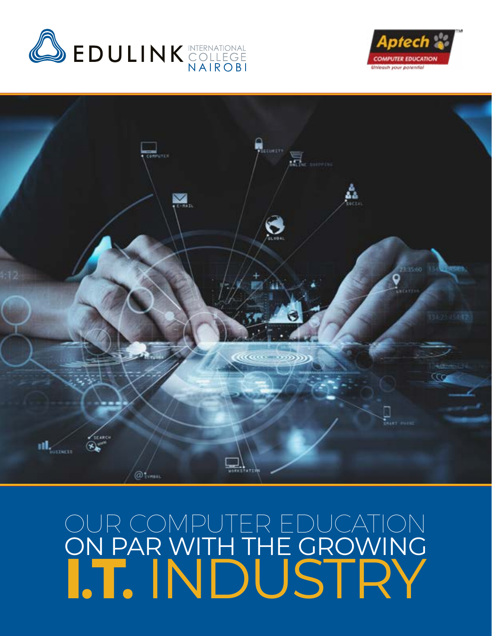





# OUR COMPUTER EDUCATION ON PAR WITH THE GROWING **I.T.** INDUSTRY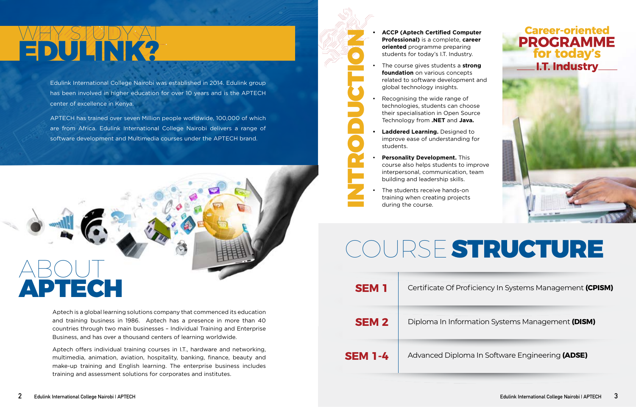Aptech is a global learning solutions company that commenced its education and training business in 1986. Aptech has a presence in more than 40 countries through two main businesses – Individual Training and Enterprise Business, and has over a thousand centers of learning worldwide.

APTECH has trained over seven Million people worldwide, 100,000 of which are from Africa. Edulink International College Nairobi delivers a range of software development and Multimedia courses under the APTECH brand.

Aptech offers individual training courses in I.T., hardware and networking, multimedia, animation, aviation, hospitality, banking, finance, beauty and make-up training and English learning. The enterprise business includes training and assessment solutions for corporates and institutes.

# WHY STUDY AT **EDULINK?**<br> **EDULINK?** •• **ACCP (Aptech Certified Computer Professional)** is a complete, career oriented programme preparing<br> **ACCP (Aptech Certified Computer Professional)** is a complete, career<br> **ACCP (Aptech Certified C**

Edulink International College Nairobi was established in 2014. Edulink group has been involved in higher education for over 10 years and is the APTECH center of excellence in Kenya.

- **Professional)** is a complete, **career oriented** programme preparing students for today's I.T. Industry.
- The course gives students a **strong foundation** on various concepts related to software development and global technology insights.
- Recognising the wide range of technologies, students can choose their specialisation in Open Source Technology from **.NET** and **Java.**

- **• Laddered Learning.** Designed to improve ease of understanding for students.
- **Personality Development.** This course also helps students to improve interpersonal, communication, team building and leadership skills.
- The students receive hands-on training when creating projects during the course.

INTRODUCTION



## **Career-oriented PROGRAMME**<br>for today's I.T. Industry.



# COURSESTRUCTURE

| <b>SEM1</b>    | Certificate Of Prof    |
|----------------|------------------------|
| <b>SEM 2</b>   | Diploma In Inform      |
| <b>SEM 1-4</b> | <b>Advanced Diplom</b> |

#### **SEM 1** Certificate Of Proficiency In Systems Management **(CPISM)**

**SEM 2** Diploma In Information Systems Management **(DISM)**

**SEM 1-4** Advanced Diploma In Software Engineering **(ADSE)**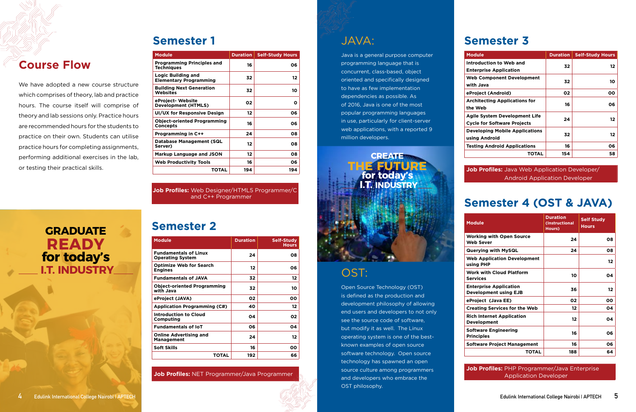### JAVA:

Java is a general purpose computer programming language that is concurrent, class-based, object oriented and specifically designed to have as few implementation dependencies as possible. As of 2016, Java is one of the most popular programming languages in use, particularly for client-server web applications, with a reported 9 million developers.

## OST:

Open Source Technology (OST) is defined as the production and development philosophy of allowing end users and developers to not only see the source code of software, but modify it as well. The Linux operating system is one of the bestknown examples of open source software technology. Open source technology has spawned an open source culture among programmers and developers who embrace the OST philosophy.

#### **Semester 2**

| <b>Module</b>                                           | <b>Duration</b> | <b>Self-Study</b><br><b>Hours</b> |
|---------------------------------------------------------|-----------------|-----------------------------------|
| <b>Fundamentals of Linux</b><br><b>Operating System</b> | 24              | 08                                |
| <b>Optimize Web for Search</b><br><b>Engines</b>        | 12              | 06                                |
| <b>Fundamentals of JAVA</b>                             | 32              | 12                                |
| <b>Object-oriented Programming</b><br>with Java         | 32              | 10                                |
| eProject (JAVA)                                         | 02              | 00                                |
| <b>Application Programming (C#)</b>                     | 40              | 12                                |
| Introduction to Cloud<br>Computing                      | 04              | 02                                |
| <b>Fundamentals of IoT</b>                              | 06              | 04                                |
| <b>Online Advertising and</b><br><b>Management</b>      | 24              | 12                                |
| <b>Soft Skills</b>                                      | 16              | 00                                |
| <b>TOTAL</b>                                            | 192             | 66                                |

**Job Profiles:** NET Programmer/Java Programmer



### **Semester 3**

| <b>Module</b>                                                       | <b>Duration</b> | <b>Self-Study Hours</b> |
|---------------------------------------------------------------------|-----------------|-------------------------|
| Introduction to Web and<br><b>Enterprise Application</b>            | 32              | 12                      |
| <b>Web Component Development</b><br>with Java                       | 32              | 10                      |
| eProject (Android)                                                  | 02              | 00                      |
| <b>Architecting Applications for</b><br>the Web                     | 16              | 06                      |
| Agile System Development Life<br><b>Cycle for Software Projects</b> | 24              | 12                      |
| <b>Developing Mobile Applications</b><br>using Android              | 32              | 12                      |
| <b>Testing Android Applications</b>                                 | 16              | 06                      |
| TOTAL                                                               | 154             | 58                      |

**Job Profiles:** Java Web Application Developer/ Android Application Developer

#### **Semester 4 (OST & JAVA)**

| <b>Module</b>                                          | <b>Duration</b><br>(Instructional<br>Hours) | <b>Self Study</b><br><b>Hours</b> |
|--------------------------------------------------------|---------------------------------------------|-----------------------------------|
| Working with Open Source<br>Web Sever                  | 24                                          | 08                                |
| Querying with MySQL                                    | 24                                          | 08                                |
| <b>Web Application Development</b><br>using PHP        |                                             | $12 \,$                           |
| <b>Work with Cloud Platform</b><br>Services            | 10                                          | 04                                |
| <b>Enterprise Application</b><br>Development using EJB | 36                                          | $12 \,$                           |
| eProject (Java EE)                                     | 02                                          | 00                                |
| <b>Creating Services for the Web</b>                   | 12                                          | 04                                |
| <b>Rich Internet Application</b><br>Development        | 12                                          | 04                                |
| <b>Software Engineering</b><br><b>Principles</b>       | 16                                          | 06                                |
| Software Project Management                            | 16                                          | 06                                |
| TOTAL                                                  | 188                                         | 64                                |

#### **Job Profiles:** PHP Programmer/Java Enterprise Application Developer

#### **Course Flow**

We have adopted a new course structure which comprises of theory, lab and practice hours. The course itself will comprise of theory and lab sessions only. Practice hours are recommended hours for the students to practice on their own. Students can utilise practice hours for completing assignments, performing additional exercises in the lab, or testing their practical skills.

#### **Semester 1**

| <b>Module</b>                                              |     | <b>Duration   Self-Study Hours</b> |
|------------------------------------------------------------|-----|------------------------------------|
| <b>Programming Principles and</b><br><b>Techniques</b>     | 16  | 06                                 |
| <b>Logic Building and</b><br><b>Elementary Programming</b> | 32  | 12                                 |
| <b>Building Next Generation</b><br>Websites                | 32  | 10                                 |
| eProject- Website<br><b>Development (HTMLS)</b>            | 02  | O                                  |
| UI/UX for Responsive Design                                | 12  | 06                                 |
| <b>Object-oriented Programming</b><br><b>Concepts</b>      | 16  | 06                                 |
| <b>Programming in C++</b>                                  | 24  | 08                                 |
| <b>Database Management (SQL</b><br>Server)                 | 12  | 08                                 |
| <b>Markup Language and JSON</b>                            | 12  | 08                                 |
| <b>Web Productivity Tools</b>                              | 16  | 06                                 |
| TOTAL                                                      | 194 | 194                                |

**Job Profiles:** Web Designer/HTML5 Programmer/C and C++ Programmer

**CREATE**

**THE FUTURE for today's I.T. INDUSTRY**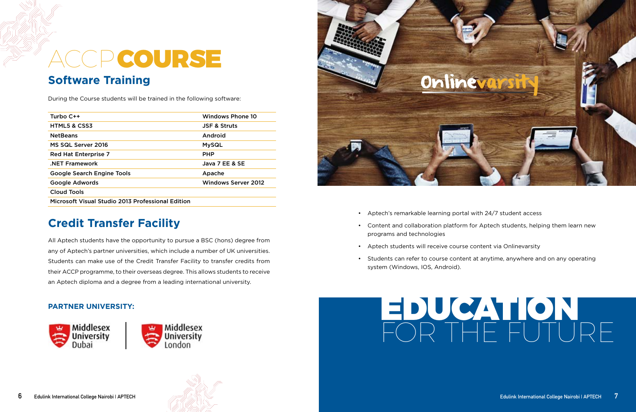# ACCPCOURSE

#### **Software Training**

During the Course students will be trained in the following software:

| Turbo $C++$                                       | Windows Phone 10           |
|---------------------------------------------------|----------------------------|
| <b>HTML5 &amp; CSS3</b>                           | <b>JSF &amp; Struts</b>    |
| <b>NetBeans</b>                                   | Android                    |
| MS SQL Server 2016                                | <b>MySQL</b>               |
| <b>Red Hat Enterprise 7</b>                       | <b>PHP</b>                 |
| <b>NET Framework</b>                              | Java 7 EE & SE             |
| <b>Google Search Engine Tools</b>                 | Apache                     |
| Google Adwords                                    | <b>Windows Server 2012</b> |
| Cloud Tools                                       |                            |
| Microsoft Visual Studio 2013 Professional Edition |                            |



## **Credit Transfer Facility**

All Aptech students have the opportunity to pursue a BSC (hons) degree from any of Aptech's partner universities, which include a number of UK universities. Students can make use of the Credit Transfer Facility to transfer credits from their ACCP programme, to their overseas degree. This allows students to receive an Aptech diploma and a degree from a leading international university.

#### **PARTNER UNIVERSITY:**





- Aptech's remarkable learning portal with 24/7 student access
- Content and collaboration platform for Aptech students, helping them learn new programs and technologies
- Aptech students will receive course content via Onlinevarsity
- Students can refer to course content at anytime, anywhere and on any operating system (Windows, IOS, Android).

# EDUCATION FOR THE FUTURE